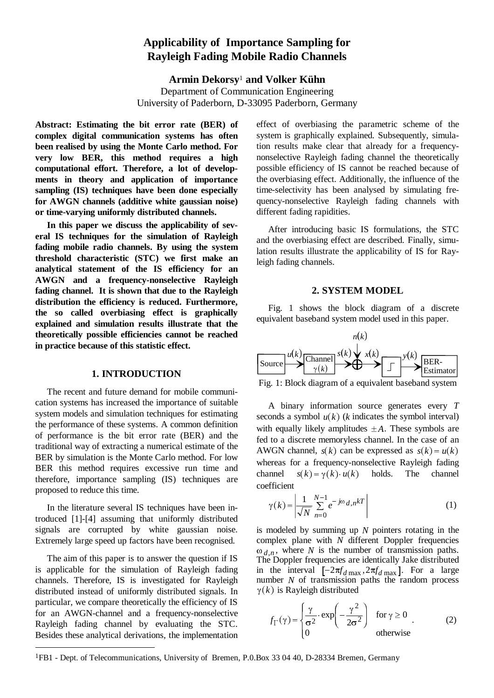# **Applicability of Importance Sampling for Rayleigh Fading Mobile Radio Channels**

**Armin Dekorsy**1 **and Volker Kühn** Department of Communication Engineering University of Paderborn, D-33095 Paderborn, Germany

**Abstract: Estimating the bit error rate (BER) of complex digital communication systems has often been realised by using the Monte Carlo method. For very low BER, this method requires a high computational effort. Therefore, a lot of developments in theory and application of importance sampling (IS) techniques have been done especially for AWGN channels (additive white gaussian noise) or time-varying uniformly distributed channels.**

**In this paper we discuss the applicability of several IS techniques for the simulation of Rayleigh fading mobile radio channels. By using the system threshold characteristic (STC) we first make an analytical statement of the IS efficiency for an AWGN and a frequency-nonselective Rayleigh fading channel. It is shown that due to the Rayleigh distribution the efficiency is reduced. Furthermore, the so called overbiasing effect is graphically explained and simulation results illustrate that the theoretically possible efficiencies cannot be reached in practice because of this statistic effect.**

## **1. INTRODUCTION**

The recent and future demand for mobile communication systems has increased the importance of suitable system models and simulation techniques for estimating the performance of these systems. A common definition of performance is the bit error rate (BER) and the traditional way of extracting a numerical estimate of the BER by simulation is the Monte Carlo method. For low BER this method requires excessive run time and therefore, importance sampling (IS) techniques are proposed to reduce this time.

In the literature several IS techniques have been introduced [1]-[4] assuming that uniformly distributed signals are corrupted by white gaussian noise. Extremely large speed up factors have been recognised.

The aim of this paper is to answer the question if IS is applicable for the simulation of Rayleigh fading channels. Therefore, IS is investigated for Rayleigh distributed instead of uniformly distributed signals. In particular, we compare theoretically the efficiency of IS for an AWGN-channel and a frequency-nonselective Rayleigh fading channel by evaluating the STC. Besides these analytical derivations, the implementation

 $\overline{a}$ 

effect of overbiasing the parametric scheme of the system is graphically explained. Subsequently, simulation results make clear that already for a frequencynonselective Rayleigh fading channel the theoretically possible efficiency of IS cannot be reached because of the overbiasing effect. Additionally, the influence of the time-selectivity has been analysed by simulating frequency-nonselective Rayleigh fading channels with different fading rapidities.

After introducing basic IS formulations, the STC and the overbiasing effect are described. Finally, simulation results illustrate the applicability of IS for Rayleigh fading channels.

# **2. SYSTEM MODEL**

Fig. 1 shows the block diagram of a discrete equivalent baseband system model used in this paper.



Fig. 1: Block diagram of a equivalent baseband system

A binary information source generates every *T* seconds a symbol  $u(k)$  (*k* indicates the symbol interval) with equally likely amplitudes  $\pm A$ . These symbols are fed to a discrete memoryless channel. In the case of an AWGN channel,  $s(k)$  can be expressed as  $s(k) = u(k)$ whereas for a frequency-nonselective Rayleigh fading channel  $s(k) = v(k) \cdot u(k)$  holds. The channel coefficient

$$
\gamma(k) = \left| \frac{1}{\sqrt{N}} \sum_{n=0}^{N-1} e^{-j\omega} d_n n^{k} \right| \tag{1}
$$

is modeled by summing up *N* pointers rotating in the complex plane with *N* different Doppler frequencies  $\omega_{d,n}$ , where *N* is the number of transmission paths. The Doppler frequencies are identically Jake distributed in the interval  $[-2\pi f_{d\max}, 2\pi f_{d\max}]$ . For a large number *N* of transmission paths the random process  $\gamma(k)$  is Rayleigh distributed

$$
f_{\Gamma}(\gamma) = \begin{cases} \frac{\gamma}{\sigma^2} \cdot \exp\left(-\frac{\gamma^2}{2\sigma^2}\right) & \text{for } \gamma \ge 0\\ 0 & \text{otherwise} \end{cases}
$$
 (2)

<sup>1</sup>FB1 - Dept. of Telecommunications, University of Bremen, P.0.Box 33 04 40, D-28334 Bremen, Germany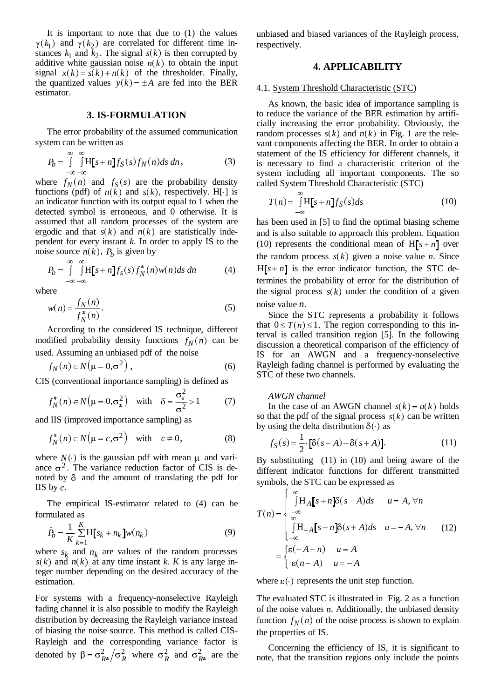It is important to note that due to (1) the values  $\gamma(k_1)$  and  $\gamma(k_2)$  are correlated for different time instances  $k_1$  and  $k_2$ . The signal  $s(k)$  is then corrupted by additive white gaussian noise  $n(k)$  to obtain the input signal  $x(k) = s(k) + n(k)$  of the thresholder. Finally, the quantized values  $y(k) = \pm A$  are fed into the BER estimator.

# **3. IS-FORMULATION**

The error probability of the assumed communication system can be written as

$$
P_b = \int_{-\infty}^{\infty} \int_{-\infty}^{\infty} H[s+n] f_S(s) f_N(n) ds \, dn,
$$
 (3)

where  $f_N(n)$  and  $f_S(s)$  are the probability density functions (pdf) of  $n(\tilde{k})$  and  $s(k)$ , respectively. H[·] is an indicator function with its output equal to 1 when the detected symbol is erroneous, and 0 otherwise. It is assumed that all random processes of the system are ergodic and that  $s(k)$  and  $n(k)$  are statistically independent for every instant *k*. In order to apply IS to the noise source  $n(k)$ ,  $P_b$  is given by

$$
P_b = \int_{-\infty}^{\infty} \int_{-\infty}^{\infty} H[s+n] f_s(s) f_N^*(n) w(n) ds dn \qquad (4)
$$

where

$$
w(n) = \frac{f_N(n)}{f_N^*(n)}.
$$
\n(5)

According to the considered IS technique, different modified probability density functions  $f_N(n)$  can be used. Assuming an unbiased pdf of the noise

$$
f_N(n) \in N(\mu = 0, \sigma^2), \qquad (6)
$$

CIS (conventional importance sampling) is defined as

$$
f_N^*(n) \in N\left(\mu = 0, \sigma_*^2\right) \quad \text{with} \quad \delta = \frac{\sigma_*^2}{\sigma^2} > 1 \tag{7}
$$

and IIS (improved importance sampling) as

$$
f_N^*(n) \in N(\mu = c, \sigma^2) \quad \text{with} \quad c \neq 0,
$$
 (8)

where  $N(\cdot)$  is the gaussian pdf with mean  $\mu$  and variance  $\sigma^2$ . The variance reduction factor of CIS is denoted by  $\delta$  and the amount of translating the pdf for IIS by *c*.

The empirical IS-estimator related to (4) can be formulated as The empiric<br>mulated as<br> $\hat{P}_b = \frac{1}{K} \sum_{i=1}^{K} H_i$ 

$$
\hat{P}_b = \frac{1}{K} \sum_{k=1}^{K} H[s_k + n_k] w(n_k)
$$
\n(9)

where  $s_k$  and  $n_k$  are values of the random processes  $s(k)$  and  $n(k)$  at any time instant *k. K* is any large integer number depending on the desired accuracy of the estimation.

For systems with a frequency-nonselective Rayleigh fading channel it is also possible to modify the Rayleigh distribution by decreasing the Rayleigh variance instead of biasing the noise source. This method is called CIS-Rayleigh and the corresponding variance factor is denoted by  $\beta = \frac{\sigma_{R*}^2}{\sigma_R^2}$  where  $\sigma_R^2$  and  $\sigma_{R*}^2$  are the

unbiased and biased variances of the Rayleigh process, respectively.

## **4. APPLICABILITY**

## 4.1. System Threshold Characteristic (STC)

As known, the basic idea of importance sampling is to reduce the variance of the BER estimation by artificially increasing the error probability. Obviously, the random processes  $s(k)$  and  $n(k)$  in Fig. 1 are the relevant components affecting the BER. In order to obtain a statement of the IS efficiency for different channels, it is necessary to find a characteristic criterion of the system including all important components. The so called System Threshold Characteristic (STC)

$$
T(n) = \int_{-\infty}^{\infty} H[s+n] f_S(s) ds
$$
 (10)

has been used in [5] to find the optimal biasing scheme and is also suitable to approach this problem. Equation (10) represents the conditional mean of  $H[s+n]$  over the random process  $s(k)$  given a noise value *n*. Since  $H[s+n]$  is the error indicator function, the STC determines the probability of error for the distribution of the signal process  $s(k)$  under the condition of a given noise value *n*.

Since the STC represents a probability it follows that  $0 \le T(n) \le 1$ . The region corresponding to this interval is called transition region [5]. In the following discussion a theoretical comparison of the efficiency of IS for an AWGN and a frequency-nonselective Rayleigh fading channel is performed by evaluating the STC of these two channels.

#### *AWGN channel*

In the case of an AWGN channel  $s(k) = u(k)$  holds so that the pdf of the signal process  $s(k)$  can be written by using the delta distribution  $\delta(\cdot)$  as

$$
f_S(s) = \frac{1}{2} \cdot [\delta(s - A) + \delta(s + A)].
$$
 (11)

By substituting (11) in (10) and being aware of the different indicator functions for different transmitted symbols, the STC can be expressed as

$$
T(n) = \begin{cases} \int_{-\infty}^{\infty} \int H_A[s+n]\delta(s-A)ds & u = A, \forall n \\ \int_{-\infty}^{\infty} \int H_{-A}[s+n]\delta(s+A)ds & u = -A, \forall n \\ \int_{-\infty}^{\infty} \delta(s+A)ds & u = -A, \forall n \\ \epsilon(n-A) & u = -A \end{cases}
$$
 (12)

where  $\varepsilon(\cdot)$  represents the unit step function.

The evaluated STC is illustrated in Fig. 2 as a function of the noise values *n*. Additionally, the unbiased density function  $f_N(n)$  of the noise process is shown to explain the properties of IS.

Concerning the efficiency of IS, it is significant to note, that the transition regions only include the points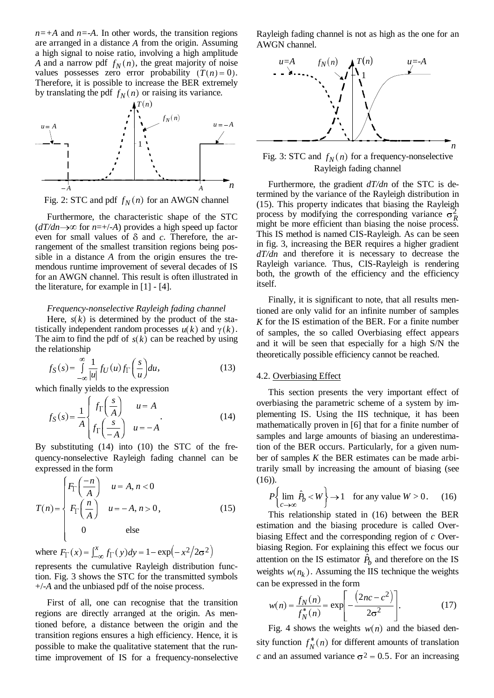$n=+A$  and  $n=-A$ . In other words, the transition regions are arranged in a distance *A* from the origin. Assuming a high signal to noise ratio, involving a high amplitude *A* and a narrow pdf  $f_N(n)$ , the great majority of noise values possesses zero error probability  $(T(n) = 0)$ . Therefore, it is possible to increase the BER extremely Finercore, it is possible to increase the BEK extrements by translating the pdf  $f_N(n)$  or raising its variance.





Furthermore, the characteristic shape of the STC  $(dT/dn \rightarrow \infty$  for  $n=+/A$ ) provides a high speed up factor even for small values of  $\delta$  and  $c$ . Therefore, the arrangement of the smallest transition regions being possible in a distance *A* from the origin ensures the tremendous runtime improvement of several decades of IS for an AWGN channel. This result is often illustrated in the literature, for example in [1] - [4].

### *Frequency-nonselective Rayleigh fading channel*

Here,  $s(k)$  is determined by the product of the statistically independent random processes  $u(k)$  and  $\gamma(k)$ . The aim to find the pdf of  $s(k)$  can be reached by using the relationship

$$
f_S(s) = \int_{-\infty}^{\infty} \frac{1}{|u|} f_U(u) f_{\Gamma}\left(\frac{s}{u}\right) du,\tag{13}
$$

which finally yields to the expression

$$
f_S(s) = \frac{1}{A} \begin{cases} f_{\Gamma}\left(\frac{s}{A}\right) & u = A \\ f_{\Gamma}\left(\frac{s}{-A}\right) & u = -A \end{cases}
$$
(14)

By substituting (14) into (10) the STC of the frequency-nonselective Rayleigh fading channel can be expressed in the form

$$
T(n) = \begin{cases} F_{\Gamma}\left(\frac{-n}{A}\right) & u = A, n < 0 \\ F_{\Gamma}\left(\frac{n}{A}\right) & u = -A, n > 0, \\ 0 & \text{else} \end{cases}
$$
(15)

where  $F_{\Gamma}(x) = \int_{-\infty}^{x} f_{\Gamma}(y) dy = 1 - \exp(-x^2/2\sigma^2)$ represents the cumulative Rayleigh distribution function. Fig. 3 shows the STC for the transmitted symbols

+/-*A* and the unbiased pdf of the noise process.

First of all, one can recognise that the transition regions are directly arranged at the origin. As mentioned before, a distance between the origin and the transition regions ensures a high efficiency. Hence, it is possible to make the qualitative statement that the runtime improvement of IS for a frequency-nonselective Rayleigh fading channel is not as high as the one for an AWGN channel.



Fig. 3: STC and  $f_N(n)$  for a frequency-nonselective Rayleigh fading channel

Furthermore, the gradient *dT/dn* of the STC is determined by the variance of the Rayleigh distribution in (15). This property indicates that biasing the Rayleigh process by modifying the corresponding variance  $\sigma_R^2$ might be more efficient than biasing the noise process. This IS method is named CIS-Rayleigh. As can be seen in fig. 3, increasing the BER requires a higher gradient *dT/dn* and therefore it is necessary to decrease the Rayleigh variance. Thus, CIS-Rayleigh is rendering both, the growth of the efficiency and the efficiency itself.

Finally, it is significant to note, that all results mentioned are only valid for an infinite number of samples *K* for the IS estimation of the BER. For a finite number of samples, the so called Overbiasing effect appears and it will be seen that especially for a high S/N the theoretically possible efficiency cannot be reached.

## 4.2. Overbiasing Effect

This section presents the very important effect of overbiasing the parametric scheme of a system by implementing IS. Using the IIS technique, it has been mathematically proven in [6] that for a finite number of samples and large amounts of biasing an underestimation of the BER occurs. Particularly, for a given number of samples *K* the BER estimates can be made arbitrarily small by increasing the amount of biasing (see (16)). of samples *K* the BER estimates can be identify small by increasing the amount of  $P\left\{\lim_{c\to\infty}\hat{P}_b < W\right\} \to 1$  for any value *W* 

$$
P\left\{\lim_{c \to \infty} \hat{P}_b < W\right\} \to 1 \quad \text{for any value } W > 0. \tag{16}
$$

This relationship stated in (16) between the BER estimation and the biasing procedure is called Overbiasing Effect and the corresponding region of *c* Overbiasing Region. For explaining this effect we focus our estimation and the biasing procedure is called Over-<br>biasing Effect and the corresponding region of c Over-<br>biasing Region. For explaining this effect we focus our<br>attention on the IS estimator  $\hat{P}_b$  and therefore on t weights  $w(n_k)$ . Assuming the IIS technique the weights can be expressed in the form

$$
w(n) = \frac{f_N(n)}{f_N^*(n)} = \exp\left[-\frac{(2nc - c^2)}{2\sigma^2}\right].
$$
 (17)

Fig. 4 shows the weights  $w(n)$  and the biased density function  $f_N^*(n)$  for different amounts of translation *c* and an assumed variance  $\sigma^2 = 0.5$ . For an increasing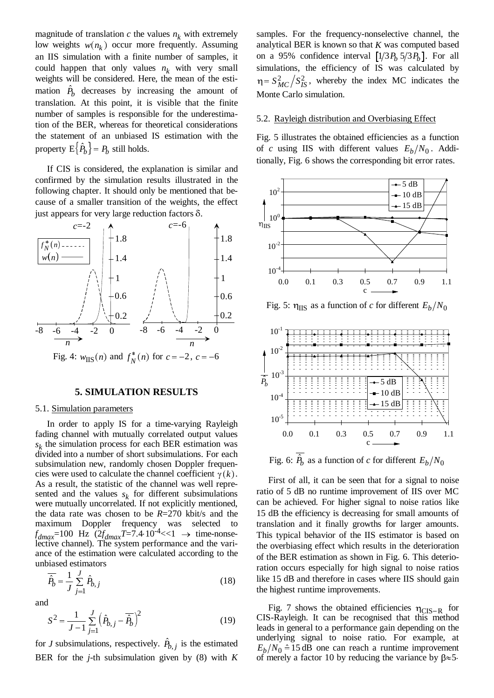magnitude of translation  $c$  the values  $n_k$  with extremely low weights  $w(n_k)$  occur more frequently. Assuming an IIS simulation with a finite number of samples, it could happen that only values  $n_k$  with very small weights will be considered. Here, the mean of the estian IIS simulation with a finite number of samples, it could happen that only values  $n_k$  with very small weights will be considered. Here, the mean of the estimation  $\hat{P}_b$  decreases by increasing the amount of translation. At this point, it is visible that the finite number of samples is responsible for the underestimation of the BER, whereas for theoretical considerations the statement of an unbiased IS estimation with the number of samples is responsition of the BER, whereas for the statement of an unbiased property  $E\{\hat{P}_b\} = P_b$  still holds.

If CIS is considered, the explanation is similar and confirmed by the simulation results illustrated in the following chapter. It should only be mentioned that because of a smaller transition of the weights, the effect just appears for very large reduction factors  $\delta$ .



#### **5. SIMULATION RESULTS**

#### 5.1. Simulation parameters

In order to apply IS for a time-varying Rayleigh fading channel with mutually correlated output values  $s_k$  the simulation process for each BER estimation was divided into a number of short subsimulations. For each subsimulation new, randomly chosen Doppler frequencies were used to calculate the channel coefficient  $\gamma(k)$ . As a result, the statistic of the channel was well represented and the values  $s_k$  for different subsimulations were mutually uncorrelated. If not explicitly mentioned, the data rate was chosen to be *R*=270 kbit/s and the maximum Doppler frequency was selected to  $f_{dmax}$ =100 Hz  $(2f_{dmax}T=7.4 \cdot 10^{-4}$  < 1  $\rightarrow$  time-nonselective channel). The system performance and the vari-<br>ance of the estimation were calculated according to the<br>unbiased estimators ance of the estimation were calculated according to the unbiased estimators

$$
\overline{\hat{P}_b} = \frac{1}{J} \sum_{j=1}^{J} \hat{P}_{b,j} \tag{18}
$$

and

$$
P_b = \frac{1}{J} \sum_{j=1}^{J} P_{b,j}
$$
\n(18)

\nand

\n
$$
S^2 = \frac{1}{J-1} \sum_{j=1}^{J} \left( \hat{P}_{b,j} - \overline{\hat{P}_b} \right)^2
$$
\n(19)

\nfor *J* subsimulations, respectively.  $\hat{P}_{b,j}$  is the estimated

BER for the *j*-th subsimulation given by (8) with  $K$ 

samples. For the frequency-nonselective channel, the analytical BER is known so that *K* was computed based on a 95% confidence interval  $[1/3 P_b 5/3 P_b]$ . For all simulations, the efficiency of IS was calculated by  $\eta = S_{MC}^2 / S_{IS}^2$ , whereby the index MC indicates the Monte Carlo simulation.

### 5.2. Rayleigh distribution and Overbiasing Effect

Fig. 5 illustrates the obtained efficiencies as a function of *c* using IIS with different values  $E_h/N_0$ . Additionally, Fig. 6 shows the corresponding bit error rates.



Fig. 5:  $\eta_{\text{IIS}}$  as a function of *c* for different  $E_h/N_0$ 



First of all, it can be seen that for a signal to noise ratio of 5 dB no runtime improvement of IIS over MC can be achieved. For higher signal to noise ratios like 15 dB the efficiency is decreasing for small amounts of translation and it finally growths for larger amounts. This typical behavior of the IIS estimator is based on the overbiasing effect which results in the deterioration of the BER estimation as shown in Fig. 6. This deterioration occurs especially for high signal to noise ratios like 15 dB and therefore in cases where IIS should gain the highest runtime improvements.

Fig. 7 shows the obtained efficiencies  $\eta_{\text{CIS-R}}$  for CIS-Rayleigh. It can be recognised that this method leads in general to a performance gain depending on the underlying signal to noise ratio. For example, at  $E_b/N_0 \hat{=} 15$  dB one can reach a runtime improvement of merely a factor 10 by reducing the variance by  $\beta \approx 5$